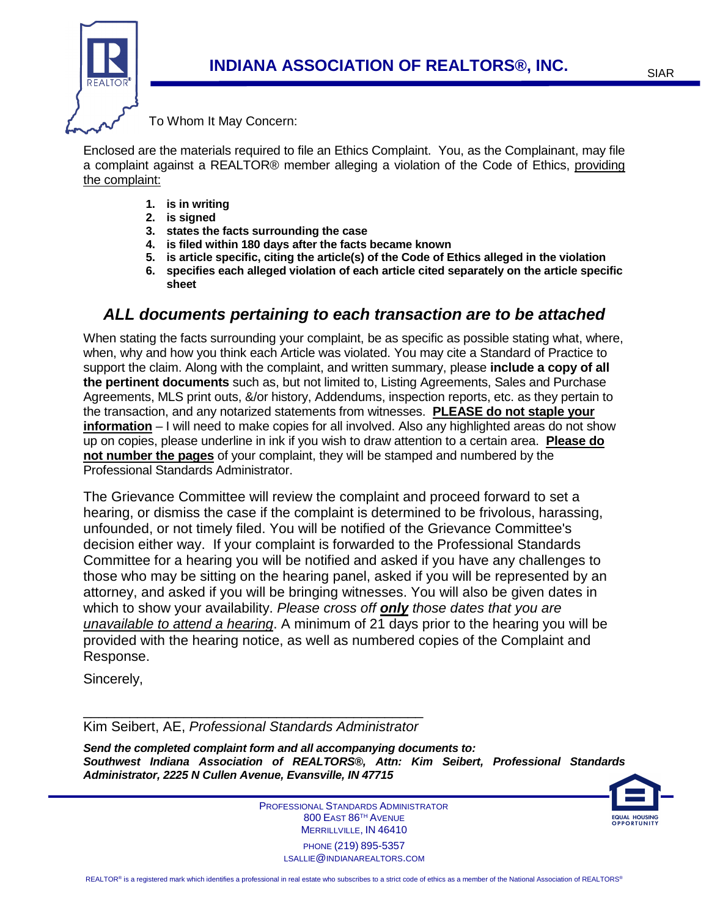

To Whom It May Concern:

Enclosed are the materials required to file an Ethics Complaint. You, as the Complainant, may file a complaint against a REALTOR® member alleging a violation of the Code of Ethics, providing the complaint:

- **1. is in writing**
- **2. is signed**
- **3. states the facts surrounding the case**
- **4. is filed within 180 days after the facts became known**
- **5. is article specific, citing the article(s) of the Code of Ethics alleged in the violation**
- **6. specifies each alleged violation of each article cited separately on the article specific sheet**

## **ALL documents pertaining to each transaction are to be attached**

When stating the facts surrounding your complaint, be as specific as possible stating what, where, when, why and how you think each Article was violated. You may cite a Standard of Practice to support the claim. Along with the complaint, and written summary, please **include a copy of all the pertinent documents** such as, but not limited to, Listing Agreements, Sales and Purchase Agreements, MLS print outs, &/or history, Addendums, inspection reports, etc. as they pertain to the transaction, and any notarized statements from witnesses. **PLEASE do not staple your information** – I will need to make copies for all involved. Also any highlighted areas do not show up on copies, please underline in ink if you wish to draw attention to a certain area. **Please do not number the pages** of your complaint, they will be stamped and numbered by the Professional Standards Administrator.

The Grievance Committee will review the complaint and proceed forward to set a hearing, or dismiss the case if the complaint is determined to be frivolous, harassing, unfounded, or not timely filed. You will be notified of the Grievance Committee's decision either way. If your complaint is forwarded to the Professional Standards Committee for a hearing you will be notified and asked if you have any challenges to those who may be sitting on the hearing panel, asked if you will be represented by an attorney, and asked if you will be bringing witnesses. You will also be given dates in which to show your availability. Please cross off **only** those dates that you are unavailable to attend a hearing. A minimum of 21 days prior to the hearing you will be provided with the hearing notice, as well as numbered copies of the Complaint and Response.

Sincerely,

\_\_\_\_\_\_\_\_\_\_\_\_\_\_\_\_\_\_\_\_\_\_\_\_\_\_\_\_\_\_\_\_\_\_\_\_\_\_\_\_\_\_\_\_ Kim Seibert, AE, Professional Standards Administrator

**Send the completed complaint form and all accompanying documents to: Southwest Indiana Association of REALTORS®, Attn: Kim Seibert, Professional Standards Administrator, 2225 N Cullen Avenue, Evansville, IN 47715** 



 PROFESSIONAL STANDARDS ADMINISTRATOR 800 EAST 86TH AVENUE MERRILLVILLE, IN 46410 PHONE (219) 895-5357 LSALLIE@INDIANAREALTORS.COM

ì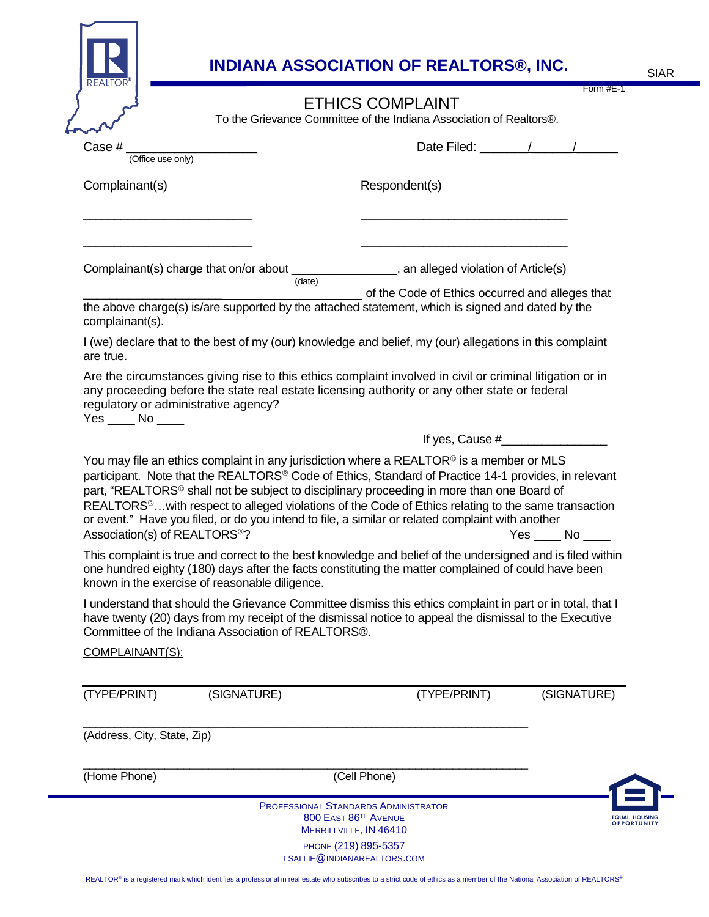|                                                                                                                         |             | <b>ETHICS COMPLAINT</b>                                                                                                                                                                                                                                                                                                                                                                                                                                                                                                 | Form #E-1       |
|-------------------------------------------------------------------------------------------------------------------------|-------------|-------------------------------------------------------------------------------------------------------------------------------------------------------------------------------------------------------------------------------------------------------------------------------------------------------------------------------------------------------------------------------------------------------------------------------------------------------------------------------------------------------------------------|-----------------|
|                                                                                                                         |             | To the Grievance Committee of the Indiana Association of Realtors®.                                                                                                                                                                                                                                                                                                                                                                                                                                                     |                 |
| Case #<br>(Office use only)                                                                                             |             | Date Filed: //                                                                                                                                                                                                                                                                                                                                                                                                                                                                                                          |                 |
| Complainant(s)                                                                                                          |             | Respondent(s)                                                                                                                                                                                                                                                                                                                                                                                                                                                                                                           |                 |
|                                                                                                                         | (date)      | Complainant(s) charge that on/or about __________________, an alleged violation of Article(s)                                                                                                                                                                                                                                                                                                                                                                                                                           |                 |
| complainant(s).                                                                                                         |             | of the Code of Ethics occurred and alleges that<br>the above charge(s) is/are supported by the attached statement, which is signed and dated by the                                                                                                                                                                                                                                                                                                                                                                     |                 |
| are true.                                                                                                               |             | I (we) declare that to the best of my (our) knowledge and belief, my (our) allegations in this complaint                                                                                                                                                                                                                                                                                                                                                                                                                |                 |
| regulatory or administrative agency?<br>$Yes$ No ______                                                                 |             | any proceeding before the state real estate licensing authority or any other state or federal                                                                                                                                                                                                                                                                                                                                                                                                                           |                 |
|                                                                                                                         |             | You may file an ethics complaint in any jurisdiction where a $REALTOR®$ is a member or MLS<br>participant. Note that the REALTORS® Code of Ethics, Standard of Practice 14-1 provides, in relevant<br>part, "REALTORS® shall not be subject to disciplinary proceeding in more than one Board of<br>REALTORS <sup>®</sup> with respect to alleged violations of the Code of Ethics relating to the same transaction<br>or event." Have you filed, or do you intend to file, a similar or related complaint with another |                 |
| Association(s) of REALTORS <sup>®</sup> ?                                                                               |             |                                                                                                                                                                                                                                                                                                                                                                                                                                                                                                                         | $Yes$ No $\_\_$ |
|                                                                                                                         |             | This complaint is true and correct to the best knowledge and belief of the undersigned and is filed within<br>one hundred eighty (180) days after the facts constituting the matter complained of could have been                                                                                                                                                                                                                                                                                                       |                 |
|                                                                                                                         |             | I understand that should the Grievance Committee dismiss this ethics complaint in part or in total, that I<br>have twenty (20) days from my receipt of the dismissal notice to appeal the dismissal to the Executive                                                                                                                                                                                                                                                                                                    |                 |
| known in the exercise of reasonable diligence.<br>Committee of the Indiana Association of REALTORS®.<br>COMPLAINANT(S): |             |                                                                                                                                                                                                                                                                                                                                                                                                                                                                                                                         |                 |
| (TYPE/PRINT)                                                                                                            | (SIGNATURE) | (TYPE/PRINT)                                                                                                                                                                                                                                                                                                                                                                                                                                                                                                            | (SIGNATURE)     |
| (Address, City, State, Zip)                                                                                             |             |                                                                                                                                                                                                                                                                                                                                                                                                                                                                                                                         |                 |